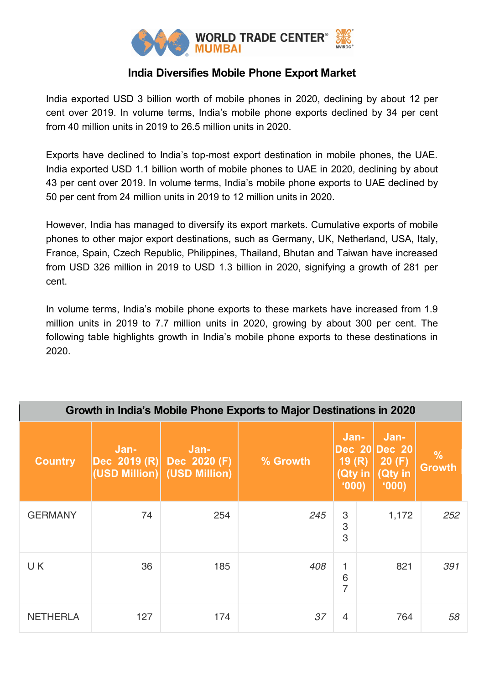

## **India Diversifies Mobile Phone Export Market**

India exported USD 3 billion worth of mobile phones in 2020, declining by about 12 per cent over 2019. In volume terms, India's mobile phone exports declined by 34 per cent from 40 million units in 2019 to 26.5 million units in 2020.

Exports have declined to India's top-most export destination in mobile phones, the UAE. India exported USD 1.1 billion worth of mobile phones to UAE in 2020, declining by about 43 per cent over 2019. In volume terms, India's mobile phone exports to UAE declined by 50 per cent from 24 million units in 2019 to 12 million units in 2020.

However, India has managed to diversify its export markets. Cumulative exports of mobile phones to other major export destinations, such as Germany, UK, Netherland, USA, Italy, France, Spain, Czech Republic, Philippines, Thailand, Bhutan and Taiwan have increased from USD 326 million in 2019 to USD 1.3 billion in 2020, signifying a growth of 281 per cent.

In volume terms, India's mobile phone exports to these markets have increased from 1.9 million units in 2019 to 7.7 million units in 2020, growing by about 300 per cent. The following table highlights growth in India's mobile phone exports to these destinations in 2020.

| Growth in India's Mobile Phone Exports to Major Destinations in 2020 |                                       |                                       |          |                                   |                                                    |                                |  |
|----------------------------------------------------------------------|---------------------------------------|---------------------------------------|----------|-----------------------------------|----------------------------------------------------|--------------------------------|--|
| <b>Country</b>                                                       | Jan-<br>Dec 2019 (R)<br>(USD Million) | Jan-<br>Dec 2020 (F)<br>(USD Million) | % Growth | Jan-<br>19(R)<br>(Qty in<br>(000) | Jan-<br>Dec 20 Dec 20<br>20(F)<br>(Qty in<br>(000) | $\frac{0}{0}$<br><b>Growth</b> |  |
| <b>GERMANY</b>                                                       | 74                                    | 254                                   | 245      | 3<br>3<br>3                       | 1,172                                              | 252                            |  |
| UK.                                                                  | 36                                    | 185                                   | 408      | $\mathbf{1}$<br>6<br>7            | 821                                                | 391                            |  |
| <b>NETHERLA</b>                                                      | 127                                   | 174                                   | 37       | $\overline{4}$                    | 764                                                | 58                             |  |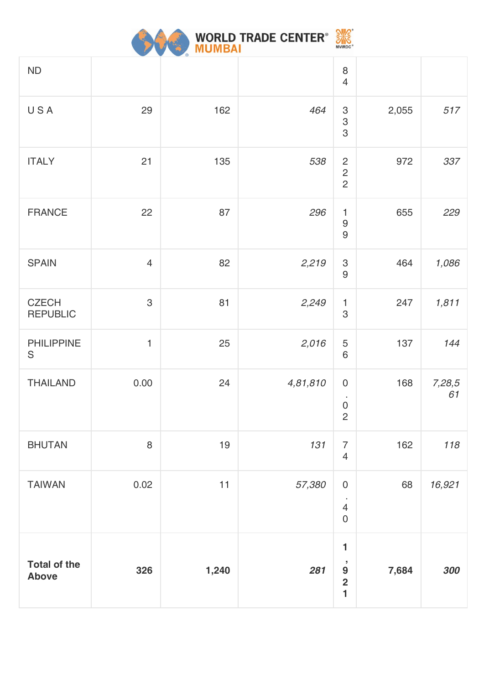

| ND                                  |                |       |          | $\,8\,$<br>$\overline{4}$                                                                    |       |              |
|-------------------------------------|----------------|-------|----------|----------------------------------------------------------------------------------------------|-------|--------------|
| USA                                 | 29             | 162   | 464      | $\mbox{3}$<br>3<br>3                                                                         | 2,055 | 517          |
| <b>ITALY</b>                        | 21             | 135   | 538      | $\overline{c}$<br>$\overline{c}$<br>$\overline{2}$                                           | 972   | 337          |
| <b>FRANCE</b>                       | 22             | 87    | 296      | 1<br>$\boldsymbol{9}$<br>9                                                                   | 655   | 229          |
| <b>SPAIN</b>                        | $\overline{4}$ | 82    | 2,219    | $\mbox{3}$<br>$\boldsymbol{9}$                                                               | 464   | 1,086        |
| <b>CZECH</b><br><b>REPUBLIC</b>     | 3              | 81    | 2,249    | $\mathbf{1}$<br>3                                                                            | 247   | 1,811        |
| <b>PHILIPPINE</b><br>$\mathsf S$    | $\mathbf{1}$   | 25    | 2,016    | 5<br>6                                                                                       | 137   | 144          |
| <b>THAILAND</b>                     | 0.00           | 24    | 4,81,810 | $\pmb{0}$<br>$\cdot$<br>$\mathsf{O}\xspace$<br>$\overline{c}$                                | 168   | 7,28,5<br>61 |
| <b>BHUTAN</b>                       | 8              | 19    | 131      | $\overline{7}$<br>$\overline{4}$                                                             | 162   | 118          |
| <b>TAIWAN</b>                       | 0.02           | 11    | 57,380   | $\mathsf{O}\xspace$<br>$\cdot$<br>$\overline{4}$<br>$\mathbf 0$                              | 68    | 16,921       |
| <b>Total of the</b><br><b>Above</b> | 326            | 1,240 | 281      | 1<br>$\overline{\phantom{a}}$<br>$\boldsymbol{9}$<br>$\overline{\mathbf{2}}$<br>$\mathbf{1}$ | 7,684 | 300          |